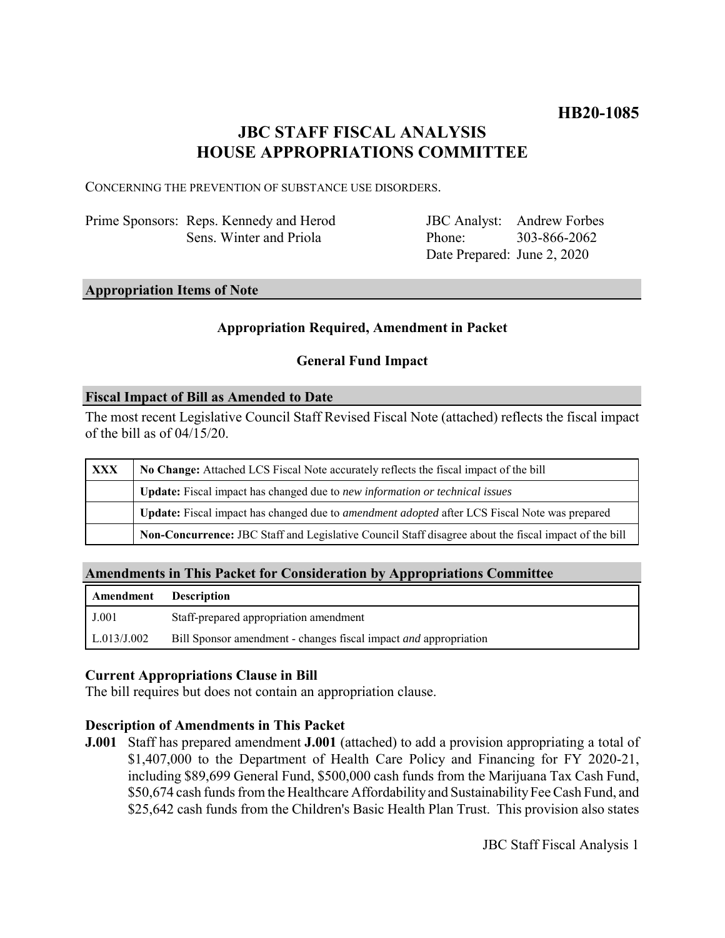# **JBC STAFF FISCAL ANALYSIS HOUSE APPROPRIATIONS COMMITTEE**

CONCERNING THE PREVENTION OF SUBSTANCE USE DISORDERS.

Prime Sponsors: Reps. Kennedy and Herod Sens. Winter and Priola

JBC Analyst: Andrew Forbes Phone: Date Prepared: June 2, 2020 303-866-2062

### **Appropriation Items of Note**

# **Appropriation Required, Amendment in Packet**

# **General Fund Impact**

### **Fiscal Impact of Bill as Amended to Date**

The most recent Legislative Council Staff Revised Fiscal Note (attached) reflects the fiscal impact of the bill as of  $04/15/20$ .

| <b>XXX</b> | No Change: Attached LCS Fiscal Note accurately reflects the fiscal impact of the bill                       |
|------------|-------------------------------------------------------------------------------------------------------------|
|            | Update: Fiscal impact has changed due to new information or technical issues                                |
|            | <b>Update:</b> Fiscal impact has changed due to <i>amendment adopted</i> after LCS Fiscal Note was prepared |
|            | Non-Concurrence: JBC Staff and Legislative Council Staff disagree about the fiscal impact of the bill       |

# **Amendments in This Packet for Consideration by Appropriations Committee**

| Amendment   | <b>Description</b>                                                      |
|-------------|-------------------------------------------------------------------------|
| J.001       | Staff-prepared appropriation amendment                                  |
| L.013/J.002 | Bill Sponsor amendment - changes fiscal impact <i>and</i> appropriation |

# **Current Appropriations Clause in Bill**

The bill requires but does not contain an appropriation clause.

# **Description of Amendments in This Packet**

**J.001** Staff has prepared amendment **J.001** (attached) to add a provision appropriating a total of \$1,407,000 to the Department of Health Care Policy and Financing for FY 2020-21, including \$89,699 General Fund, \$500,000 cash funds from the Marijuana Tax Cash Fund, \$50,674 cash funds from the Healthcare Affordability and Sustainability Fee Cash Fund, and \$25,642 cash funds from the Children's Basic Health Plan Trust. This provision also states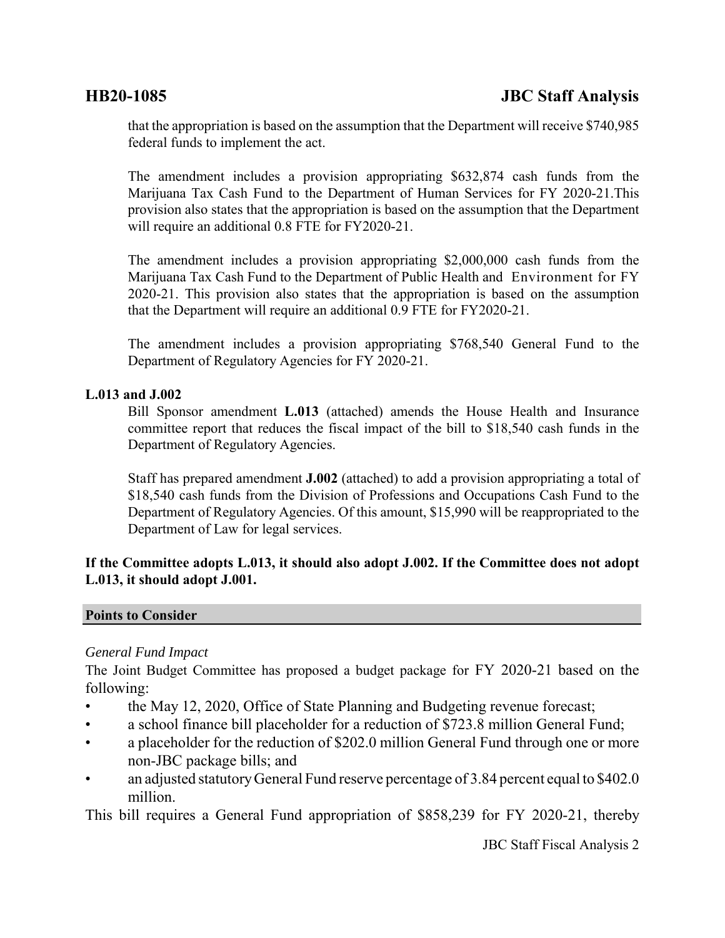that the appropriation is based on the assumption that the Department will receive \$740,985 federal funds to implement the act.

The amendment includes a provision appropriating \$632,874 cash funds from the Marijuana Tax Cash Fund to the Department of Human Services for FY 2020-21.This provision also states that the appropriation is based on the assumption that the Department will require an additional 0.8 FTE for FY2020-21.

The amendment includes a provision appropriating \$2,000,000 cash funds from the Marijuana Tax Cash Fund to the Department of Public Health and Environment for FY 2020-21. This provision also states that the appropriation is based on the assumption that the Department will require an additional 0.9 FTE for FY2020-21.

The amendment includes a provision appropriating \$768,540 General Fund to the Department of Regulatory Agencies for FY 2020-21.

# **L.013 and J.002**

Bill Sponsor amendment **L.013** (attached) amends the House Health and Insurance committee report that reduces the fiscal impact of the bill to \$18,540 cash funds in the Department of Regulatory Agencies.

Staff has prepared amendment **J.002** (attached) to add a provision appropriating a total of \$18,540 cash funds from the Division of Professions and Occupations Cash Fund to the Department of Regulatory Agencies. Of this amount, \$15,990 will be reappropriated to the Department of Law for legal services.

# **If the Committee adopts L.013, it should also adopt J.002. If the Committee does not adopt L.013, it should adopt J.001.**

# **Points to Consider**

# *General Fund Impact*

The Joint Budget Committee has proposed a budget package for FY 2020-21 based on the following:

- the May 12, 2020, Office of State Planning and Budgeting revenue forecast;
- a school finance bill placeholder for a reduction of \$723.8 million General Fund;
- a placeholder for the reduction of \$202.0 million General Fund through one or more non-JBC package bills; and
- an adjusted statutory General Fund reserve percentage of 3.84 percent equal to \$402.0 million.

This bill requires a General Fund appropriation of \$858,239 for FY 2020-21, thereby

JBC Staff Fiscal Analysis 2